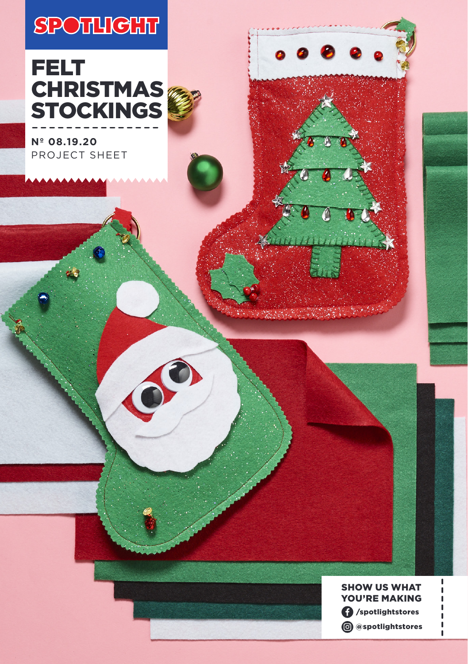# **SPOTHIGHT**

# FELT **CHRISTMAS** STOCKINGS

**Nº 08.19.20** PROJECT SHEET



 $5.3698$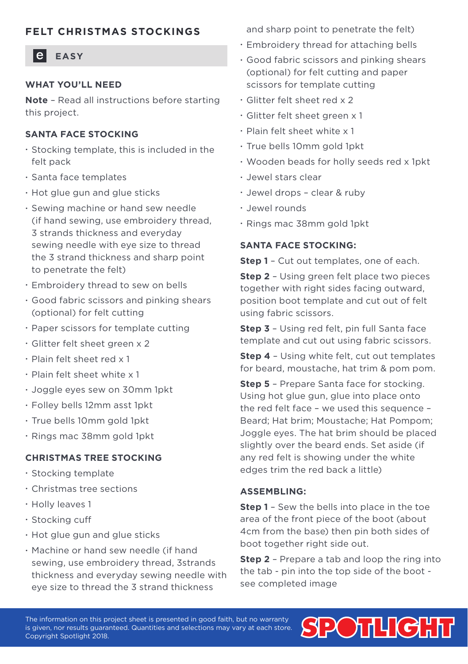## **FELT CHRISTMAS STOCKINGS**

### **EASY**

#### **WHAT YOU'LL NEED**

**Note** – Read all instructions before starting this project.

#### **SANTA FACE STOCKING**

- Stocking template, this is included in the felt pack
- Santa face templates
- Hot glue gun and glue sticks
- Sewing machine or hand sew needle (if hand sewing, use embroidery thread, 3 strands thickness and everyday sewing needle with eye size to thread the 3 strand thickness and sharp point to penetrate the felt)
- Embroidery thread to sew on bells
- Good fabric scissors and pinking shears (optional) for felt cutting
- Paper scissors for template cutting
- Glitter felt sheet green x 2
- Plain felt sheet red x 1
- Plain felt sheet white x 1
- Joggle eyes sew on 30mm 1pkt
- Folley bells 12mm asst 1pkt
- True bells 10mm gold 1pkt
- Rings mac 38mm gold 1pkt

#### **CHRISTMAS TREE STOCKING**

- Stocking template
- Christmas tree sections
- Holly leaves 1
- Stocking cuff
- Hot glue gun and glue sticks
- Machine or hand sew needle (if hand sewing, use embroidery thread, 3strands thickness and everyday sewing needle with eye size to thread the 3 strand thickness

and sharp point to penetrate the felt)

- Embroidery thread for attaching bells
- Good fabric scissors and pinking shears (optional) for felt cutting and paper scissors for template cutting
- Glitter felt sheet red x 2
- Glitter felt sheet green x 1
- Plain felt sheet white x 1
- True bells 10mm gold 1pkt
- Wooden beads for holly seeds red x 1pkt
- Jewel stars clear
- Jewel drops clear & ruby
- Jewel rounds
- Rings mac 38mm gold 1pkt

#### **SANTA FACE STOCKING:**

**Step 1** – Cut out templates, one of each.

**Step 2 - Using green felt place two pieces** together with right sides facing outward, position boot template and cut out of felt using fabric scissors.

**Step 3** – Using red felt, pin full Santa face template and cut out using fabric scissors.

**Step 4** – Using white felt, cut out templates for beard, moustache, hat trim & pom pom.

**Step 5** – Prepare Santa face for stocking. Using hot glue gun, glue into place onto the red felt face – we used this sequence – Beard; Hat brim; Moustache; Hat Pompom; Joggle eyes. The hat brim should be placed slightly over the beard ends. Set aside (if any red felt is showing under the white edges trim the red back a little)

#### **ASSEMBLING:**

**Step 1** - Sew the bells into place in the toe area of the front piece of the boot (about 4cm from the base) then pin both sides of boot together right side out.

**Step 2** – Prepare a tab and loop the ring into the tab - pin into the top side of the boot see completed image

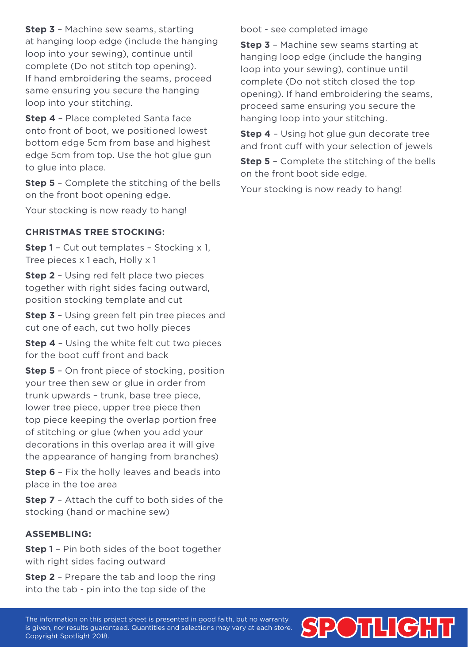**Step 3** – Machine sew seams, starting at hanging loop edge (include the hanging loop into your sewing), continue until complete (Do not stitch top opening). If hand embroidering the seams, proceed same ensuring you secure the hanging loop into your stitching.

**Step 4** – Place completed Santa face onto front of boot, we positioned lowest bottom edge 5cm from base and highest edge 5cm from top. Use the hot glue gun to glue into place.

**Step 5** – Complete the stitching of the bells on the front boot opening edge.

Your stocking is now ready to hang!

#### **CHRISTMAS TREE STOCKING:**

**Step 1** – Cut out templates – Stocking x 1, Tree pieces x 1 each, Holly x 1

**Step 2** – Using red felt place two pieces together with right sides facing outward, position stocking template and cut

**Step 3** – Using green felt pin tree pieces and cut one of each, cut two holly pieces

**Step 4** – Using the white felt cut two pieces for the boot cuff front and back

**Step 5** – On front piece of stocking, position your tree then sew or glue in order from trunk upwards – trunk, base tree piece, lower tree piece, upper tree piece then top piece keeping the overlap portion free of stitching or glue (when you add your decorations in this overlap area it will give the appearance of hanging from branches)

**Step 6** – Fix the holly leaves and beads into place in the toe area

**Step 7** – Attach the cuff to both sides of the stocking (hand or machine sew)

#### **ASSEMBLING:**

**Step 1** – Pin both sides of the boot together with right sides facing outward

**Step 2** – Prepare the tab and loop the ring into the tab - pin into the top side of the

boot - see completed image

**Step 3** – Machine sew seams starting at hanging loop edge (include the hanging loop into your sewing), continue until complete (Do not stitch closed the top opening). If hand embroidering the seams, proceed same ensuring you secure the hanging loop into your stitching.

**Step 4** – Using hot glue gun decorate tree and front cuff with your selection of jewels

**Step 5** – Complete the stitching of the bells on the front boot side edge.

Your stocking is now ready to hang!

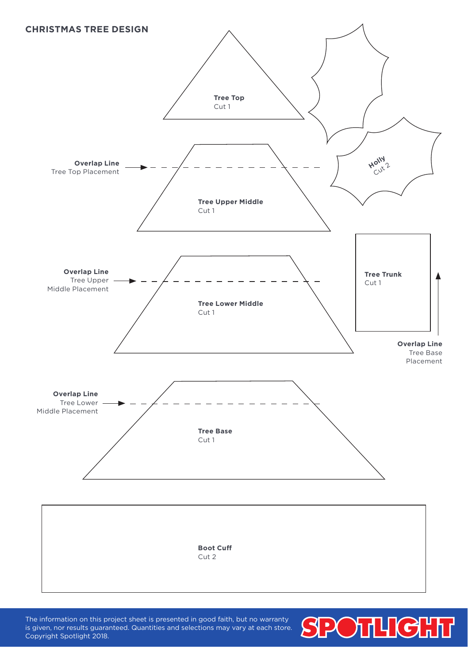

The information on this project sheet is presented in good faith, but no warranty is given, nor results guaranteed. Quantities and selections may vary at each store. Copyright Spotlight 2018.